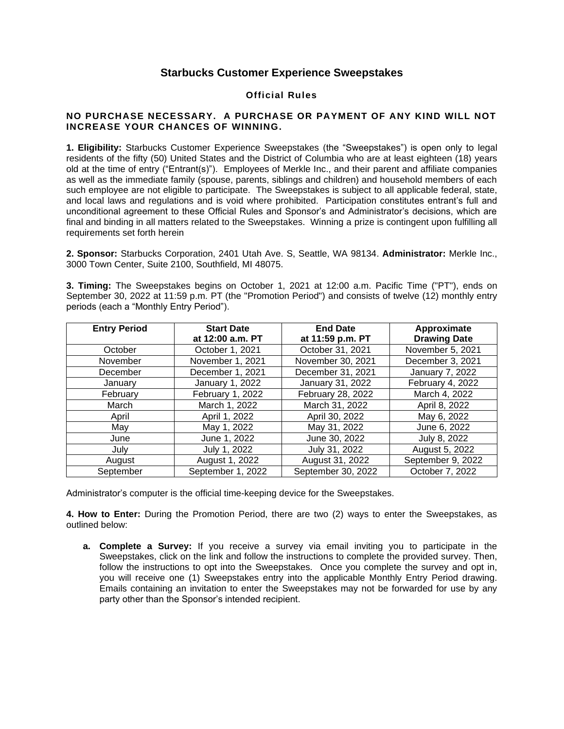## **Starbucks Customer Experience Sweepstakes**

## **Official Rules**

## **NO PURCHASE NECESSARY. A PURCHASE OR PAYMENT OF ANY KIND WILL NOT INCREASE YOUR CHANCES OF WINNING.**

**1. Eligibility:** Starbucks Customer Experience Sweepstakes (the "Sweepstakes") is open only to legal residents of the fifty (50) United States and the District of Columbia who are at least eighteen (18) years old at the time of entry ("Entrant(s)"). Employees of Merkle Inc., and their parent and affiliate companies as well as the immediate family (spouse, parents, siblings and children) and household members of each such employee are not eligible to participate. The Sweepstakes is subject to all applicable federal, state, and local laws and regulations and is void where prohibited. Participation constitutes entrant's full and unconditional agreement to these Official Rules and Sponsor's and Administrator's decisions, which are final and binding in all matters related to the Sweepstakes. Winning a prize is contingent upon fulfilling all requirements set forth herein

**2. Sponsor:** Starbucks Corporation, 2401 Utah Ave. S, Seattle, WA 98134. **Administrator:** Merkle Inc., 3000 Town Center, Suite 2100, Southfield, MI 48075.

**3. Timing:** The Sweepstakes begins on October 1, 2021 at 12:00 a.m. Pacific Time ("PT"), ends on September 30, 2022 at 11:59 p.m. PT (the "Promotion Period") and consists of twelve (12) monthly entry periods (each a "Monthly Entry Period").

| <b>Entry Period</b> | <b>Start Date</b><br>at 12:00 a.m. PT | <b>End Date</b><br>at 11:59 p.m. PT | Approximate<br><b>Drawing Date</b> |
|---------------------|---------------------------------------|-------------------------------------|------------------------------------|
| October             | October 1, 2021                       | October 31, 2021                    | November 5, 2021                   |
| November            | November 1, 2021                      | November 30, 2021                   | December 3, 2021                   |
| December            | December 1, 2021                      | December 31, 2021                   | January 7, 2022                    |
| January             | January 1, 2022                       | January 31, 2022                    | February 4, 2022                   |
| February            | February 1, 2022                      | February 28, 2022                   | March 4, 2022                      |
| March               | March 1, 2022                         | March 31, 2022                      | April 8, 2022                      |
| April               | April 1, 2022                         | April 30, 2022                      | May 6, 2022                        |
| May                 | May 1, 2022                           | May 31, 2022                        | June 6, 2022                       |
| June                | June 1, 2022                          | June 30, 2022                       | July 8, 2022                       |
| July                | July 1, 2022                          | July 31, 2022                       | August 5, 2022                     |
| August              | August 1, 2022                        | August 31, 2022                     | September 9, 2022                  |
| September           | September 1, 2022                     | September 30, 2022                  | October 7, 2022                    |

Administrator's computer is the official time-keeping device for the Sweepstakes.

**4. How to Enter:** During the Promotion Period, there are two (2) ways to enter the Sweepstakes, as outlined below:

**a. Complete a Survey:** If you receive a survey via email inviting you to participate in the Sweepstakes, click on the link and follow the instructions to complete the provided survey. Then, follow the instructions to opt into the Sweepstakes. Once you complete the survey and opt in, you will receive one (1) Sweepstakes entry into the applicable Monthly Entry Period drawing. Emails containing an invitation to enter the Sweepstakes may not be forwarded for use by any party other than the Sponsor's intended recipient.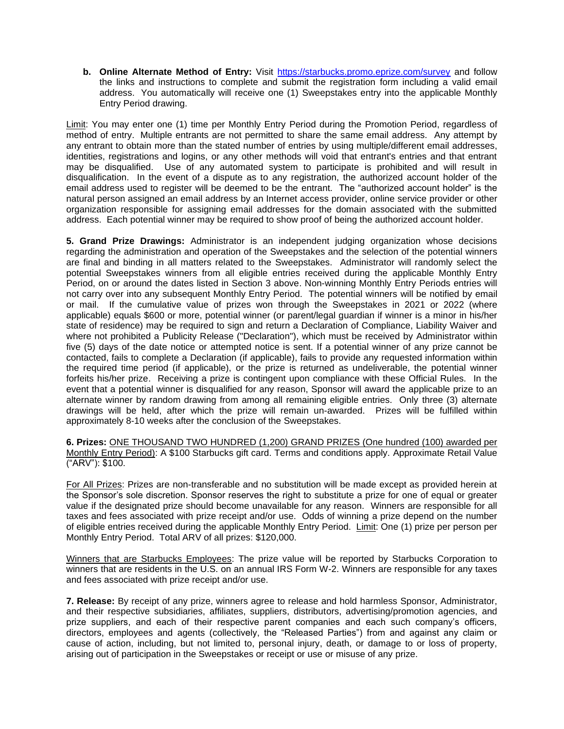**b. Online Alternate Method of Entry:** Visit<https://starbucks.promo.eprize.com/survey> and follow the links and instructions to complete and submit the registration form including a valid email address. You automatically will receive one (1) Sweepstakes entry into the applicable Monthly Entry Period drawing.

Limit: You may enter one (1) time per Monthly Entry Period during the Promotion Period, regardless of method of entry. Multiple entrants are not permitted to share the same email address. Any attempt by any entrant to obtain more than the stated number of entries by using multiple/different email addresses, identities, registrations and logins, or any other methods will void that entrant's entries and that entrant may be disqualified. Use of any automated system to participate is prohibited and will result in disqualification. In the event of a dispute as to any registration, the authorized account holder of the email address used to register will be deemed to be the entrant. The "authorized account holder" is the natural person assigned an email address by an Internet access provider, online service provider or other organization responsible for assigning email addresses for the domain associated with the submitted address. Each potential winner may be required to show proof of being the authorized account holder.

**5. Grand Prize Drawings:** Administrator is an independent judging organization whose decisions regarding the administration and operation of the Sweepstakes and the selection of the potential winners are final and binding in all matters related to the Sweepstakes. Administrator will randomly select the potential Sweepstakes winners from all eligible entries received during the applicable Monthly Entry Period, on or around the dates listed in Section 3 above. Non-winning Monthly Entry Periods entries will not carry over into any subsequent Monthly Entry Period. The potential winners will be notified by email or mail. If the cumulative value of prizes won through the Sweepstakes in 2021 or 2022 (where applicable) equals \$600 or more, potential winner (or parent/legal guardian if winner is a minor in his/her state of residence) may be required to sign and return a Declaration of Compliance, Liability Waiver and where not prohibited a Publicity Release ("Declaration"), which must be received by Administrator within five (5) days of the date notice or attempted notice is sent. If a potential winner of any prize cannot be contacted, fails to complete a Declaration (if applicable), fails to provide any requested information within the required time period (if applicable), or the prize is returned as undeliverable, the potential winner forfeits his/her prize. Receiving a prize is contingent upon compliance with these Official Rules. In the event that a potential winner is disqualified for any reason, Sponsor will award the applicable prize to an alternate winner by random drawing from among all remaining eligible entries. Only three (3) alternate drawings will be held, after which the prize will remain un-awarded. Prizes will be fulfilled within approximately 8-10 weeks after the conclusion of the Sweepstakes.

**6. Prizes:** ONE THOUSAND TWO HUNDRED (1,200) GRAND PRIZES (One hundred (100) awarded per Monthly Entry Period): A \$100 Starbucks gift card. Terms and conditions apply. Approximate Retail Value ("ARV"): \$100.

For All Prizes: Prizes are non-transferable and no substitution will be made except as provided herein at the Sponsor's sole discretion. Sponsor reserves the right to substitute a prize for one of equal or greater value if the designated prize should become unavailable for any reason. Winners are responsible for all taxes and fees associated with prize receipt and/or use. Odds of winning a prize depend on the number of eligible entries received during the applicable Monthly Entry Period. Limit: One (1) prize per person per Monthly Entry Period. Total ARV of all prizes: \$120,000.

Winners that are Starbucks Employees: The prize value will be reported by Starbucks Corporation to winners that are residents in the U.S. on an annual IRS Form W-2. Winners are responsible for any taxes and fees associated with prize receipt and/or use.

**7. Release:** By receipt of any prize, winners agree to release and hold harmless Sponsor, Administrator, and their respective subsidiaries, affiliates, suppliers, distributors, advertising/promotion agencies, and prize suppliers, and each of their respective parent companies and each such company's officers, directors, employees and agents (collectively, the "Released Parties") from and against any claim or cause of action, including, but not limited to, personal injury, death, or damage to or loss of property, arising out of participation in the Sweepstakes or receipt or use or misuse of any prize.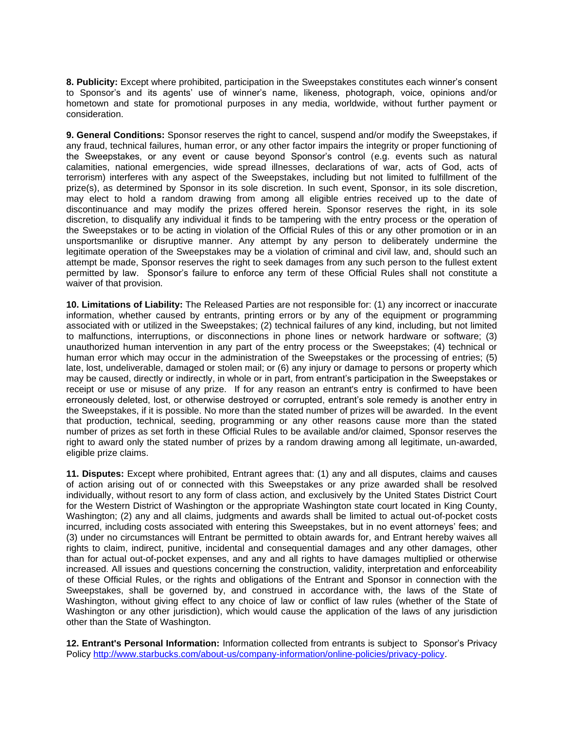**8. Publicity:** Except where prohibited, participation in the Sweepstakes constitutes each winner's consent to Sponsor's and its agents' use of winner's name, likeness, photograph, voice, opinions and/or hometown and state for promotional purposes in any media, worldwide, without further payment or consideration.

**9. General Conditions:** Sponsor reserves the right to cancel, suspend and/or modify the Sweepstakes, if any fraud, technical failures, human error, or any other factor impairs the integrity or proper functioning of the Sweepstakes, or any event or cause beyond Sponsor's control (e.g. events such as natural calamities, national emergencies, wide spread illnesses, declarations of war, acts of God, acts of terrorism) interferes with any aspect of the Sweepstakes, including but not limited to fulfillment of the prize(s), as determined by Sponsor in its sole discretion. In such event, Sponsor, in its sole discretion, may elect to hold a random drawing from among all eligible entries received up to the date of discontinuance and may modify the prizes offered herein. Sponsor reserves the right, in its sole discretion, to disqualify any individual it finds to be tampering with the entry process or the operation of the Sweepstakes or to be acting in violation of the Official Rules of this or any other promotion or in an unsportsmanlike or disruptive manner. Any attempt by any person to deliberately undermine the legitimate operation of the Sweepstakes may be a violation of criminal and civil law, and, should such an attempt be made, Sponsor reserves the right to seek damages from any such person to the fullest extent permitted by law. Sponsor's failure to enforce any term of these Official Rules shall not constitute a waiver of that provision.

**10. Limitations of Liability:** The Released Parties are not responsible for: (1) any incorrect or inaccurate information, whether caused by entrants, printing errors or by any of the equipment or programming associated with or utilized in the Sweepstakes; (2) technical failures of any kind, including, but not limited to malfunctions, interruptions, or disconnections in phone lines or network hardware or software; (3) unauthorized human intervention in any part of the entry process or the Sweepstakes; (4) technical or human error which may occur in the administration of the Sweepstakes or the processing of entries; (5) late, lost, undeliverable, damaged or stolen mail; or (6) any injury or damage to persons or property which may be caused, directly or indirectly, in whole or in part, from entrant's participation in the Sweepstakes or receipt or use or misuse of any prize. If for any reason an entrant's entry is confirmed to have been erroneously deleted, lost, or otherwise destroyed or corrupted, entrant's sole remedy is another entry in the Sweepstakes, if it is possible. No more than the stated number of prizes will be awarded. In the event that production, technical, seeding, programming or any other reasons cause more than the stated number of prizes as set forth in these Official Rules to be available and/or claimed, Sponsor reserves the right to award only the stated number of prizes by a random drawing among all legitimate, un-awarded, eligible prize claims.

**11. Disputes:** Except where prohibited, Entrant agrees that: (1) any and all disputes, claims and causes of action arising out of or connected with this Sweepstakes or any prize awarded shall be resolved individually, without resort to any form of class action, and exclusively by the United States District Court for the Western District of Washington or the appropriate Washington state court located in King County, Washington; (2) any and all claims, judgments and awards shall be limited to actual out-of-pocket costs incurred, including costs associated with entering this Sweepstakes, but in no event attorneys' fees; and (3) under no circumstances will Entrant be permitted to obtain awards for, and Entrant hereby waives all rights to claim, indirect, punitive, incidental and consequential damages and any other damages, other than for actual out-of-pocket expenses, and any and all rights to have damages multiplied or otherwise increased. All issues and questions concerning the construction, validity, interpretation and enforceability of these Official Rules, or the rights and obligations of the Entrant and Sponsor in connection with the Sweepstakes, shall be governed by, and construed in accordance with, the laws of the State of Washington, without giving effect to any choice of law or conflict of law rules (whether of the State of Washington or any other jurisdiction), which would cause the application of the laws of any jurisdiction other than the State of Washington.

**12. Entrant's Personal Information:** Information collected from entrants is subject to Sponsor's Privacy Policy [http://www.starbucks.com/about-us/company-information/online-policies/privacy-policy.](http://www.starbucks.com/about-us/company-information/online-policies/privacy-policy)